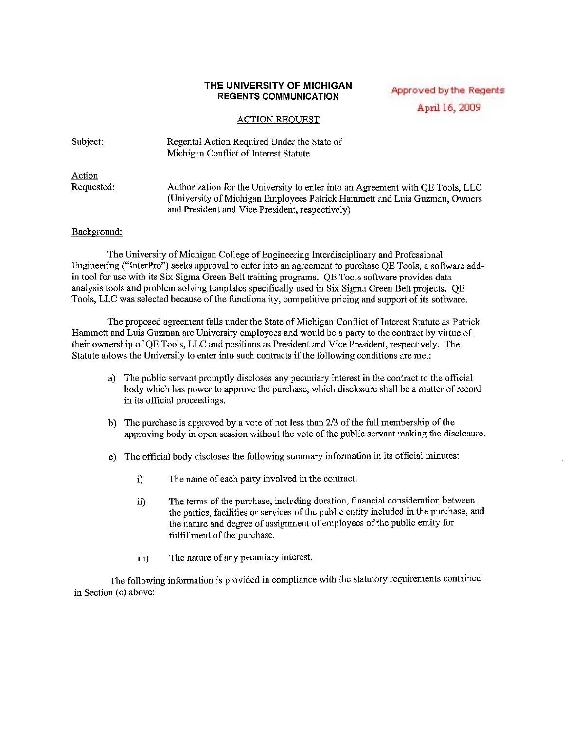## **THE UNIVERSITY OF MICHIGAN REGENTS COMMUNICATION**

Approved by the Regents April 16, 2009

## ACTION REOUEST

Subject: Action Requested: Regental Action Required Under the State of Michigan Conflict of Interest Statute Authorization for the University to enter into an Agreement with QE Tools, LLC (University of Michigan Employees Patrick Hammett and Luis Guzman, Owners and President and Vice President, respectively)

## Background:

The University of Michigan College of Engineering Interdisciplinary and Professional Engineering ("lnterPro") seeks approval to enter into an agreement to purchase QE Tools, a software addin tool for use with its Six Sigma Green Belt training programs. QE Tools software provides data analysis tools and problem solving templates specifically used in Six Sigma Green Belt projects. QE Tools, LLC was selected because of the functionality, competitive pricing and support of its software.

The proposed agreement falls under the State of Michigan Conflict of Interest Statute as Patrick Hammett and Luis Guzman are University employees and would be a party to the contract by virtue of their ownership ofQE Tools, LLC and positions as President aud Vice President, respectively. The Statute allows the University to enter into such contracts if the following conditions are met:

- a) The public servant promptly discloses any pecuniary interest in the contract to the official body which has power to approve the purchase, which disclosure shall be a matter ofrecord in its official proceedings.
- b) The purchase is approved by a vote of not less than  $2/3$  of the full membership of the approving body in open session without the vote of the public servant making the disclosure.
- c) The official body discloses the following summary infonnation in its official minutes:
	- i) The name of each party involved in the contract.
	- ii) The terms of the purchase, including duration, financial consideration between the parties, facilities or services of the public entity included in the purchase, and the nature and degree of assignment of employees of the public entity for fulfillment of the purchase.
	- iii) The nature of any pecuniary interest.

The following information is provided in compliance with the statutory requirements contained in Section (c) above: